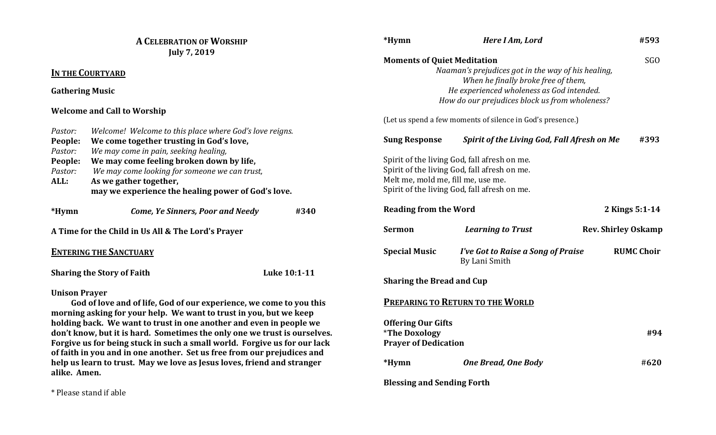|                                                                           | <b>A CELEBRATION OF WORSHIP</b>                                                                                                           | *Hymn                       | Here I Am, Lord                                                                           | #593                       |  |
|---------------------------------------------------------------------------|-------------------------------------------------------------------------------------------------------------------------------------------|-----------------------------|-------------------------------------------------------------------------------------------|----------------------------|--|
| <b>July 7, 2019</b>                                                       |                                                                                                                                           |                             | SGO<br><b>Moments of Quiet Meditation</b>                                                 |                            |  |
| <b>IN THE COURTYARD</b>                                                   |                                                                                                                                           |                             | Naaman's prejudices got in the way of his healing,<br>When he finally broke free of them, |                            |  |
| <b>Gathering Music</b>                                                    |                                                                                                                                           |                             | He experienced wholeness as God intended.                                                 |                            |  |
|                                                                           |                                                                                                                                           |                             | How do our prejudices block us from wholeness?                                            |                            |  |
| <b>Welcome and Call to Worship</b>                                        |                                                                                                                                           |                             | (Let us spend a few moments of silence in God's presence.)                                |                            |  |
| Pastor:<br>Welcome! Welcome to this place where God's love reigns.        |                                                                                                                                           |                             |                                                                                           |                            |  |
| People:                                                                   | We come together trusting in God's love,                                                                                                  | <b>Sung Response</b>        | Spirit of the Living God, Fall Afresh on Me                                               | #393                       |  |
| Pastor:                                                                   | We may come in pain, seeking healing,                                                                                                     |                             |                                                                                           |                            |  |
| People:                                                                   | We may come feeling broken down by life,                                                                                                  |                             | Spirit of the living God, fall afresh on me.                                              |                            |  |
| Pastor:                                                                   | We may come looking for someone we can trust,                                                                                             |                             | Spirit of the living God, fall afresh on me.<br>Melt me, mold me, fill me, use me.        |                            |  |
| ALL:                                                                      | As we gather together,                                                                                                                    |                             |                                                                                           |                            |  |
|                                                                           | may we experience the healing power of God's love.                                                                                        |                             | Spirit of the living God, fall afresh on me.                                              |                            |  |
| *Hymn                                                                     | #340<br><b>Come, Ye Sinners, Poor and Needy</b>                                                                                           |                             | <b>Reading from the Word</b><br>2 Kings 5:1-14                                            |                            |  |
| A Time for the Child in Us All & The Lord's Prayer                        |                                                                                                                                           | <b>Sermon</b>               | <b>Learning to Trust</b>                                                                  | <b>Rev. Shirley Oskamp</b> |  |
| <b>ENTERING THE SANCTUARY</b>                                             |                                                                                                                                           | <b>Special Music</b>        | I've Got to Raise a Song of Praise<br>By Lani Smith                                       | <b>RUMC Choir</b>          |  |
| Luke 10:1-11<br><b>Sharing the Story of Faith</b>                         |                                                                                                                                           |                             | <b>Sharing the Bread and Cup</b>                                                          |                            |  |
| <b>Unison Prayer</b>                                                      |                                                                                                                                           |                             |                                                                                           |                            |  |
|                                                                           | God of love and of life, God of our experience, we come to you this<br>morning asking for your help. We want to trust in you, but we keep |                             | <b>PREPARING TO RETURN TO THE WORLD</b>                                                   |                            |  |
| holding back. We want to trust in one another and even in people we       |                                                                                                                                           | <b>Offering Our Gifts</b>   |                                                                                           |                            |  |
| don't know, but it is hard. Sometimes the only one we trust is ourselves. |                                                                                                                                           | <i><b>*The Doxology</b></i> |                                                                                           | #94                        |  |
| Forgive us for being stuck in such a small world. Forgive us for our lack |                                                                                                                                           |                             | <b>Prayer of Dedication</b>                                                               |                            |  |
| of faith in you and in one another. Set us free from our prejudices and   |                                                                                                                                           |                             |                                                                                           |                            |  |
| help us learn to trust. May we love as Jesus loves, friend and stranger   |                                                                                                                                           | *Hymn                       | <b>One Bread, One Body</b>                                                                | #620                       |  |
| alike. Amen.                                                              |                                                                                                                                           |                             | <b>Blessing and Sending Forth</b>                                                         |                            |  |

\* Please stand if able